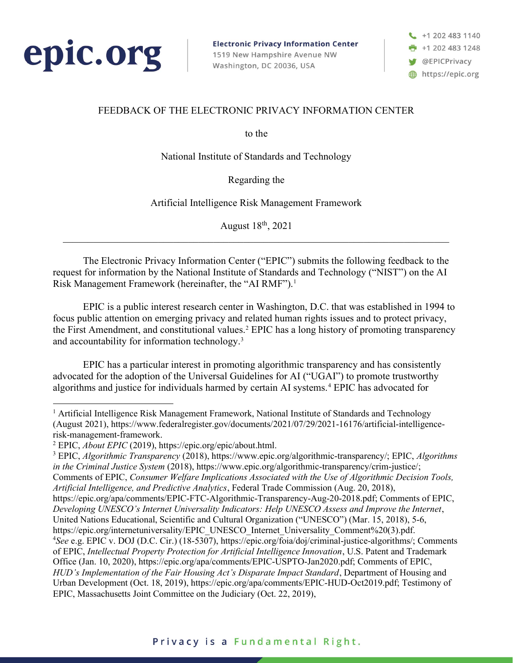

**Electronic Privacy Information Center** 1519 New Hampshire Avenue NW Washington, DC 20036, USA



# FEEDBACK OF THE ELECTRONIC PRIVACY INFORMATION CENTER

to the

National Institute of Standards and Technology

Regarding the

Artificial Intelligence Risk Management Framework

August 18th, 2021

 The Electronic Privacy Information Center ("EPIC") submits the following feedback to the request for information by the National Institute of Standards and Technology ("NIST") on the AI Risk Management Framework (hereinafter, the "AI RMF").<sup>1</sup>

EPIC is a public interest research center in Washington, D.C. that was established in 1994 to focus public attention on emerging privacy and related human rights issues and to protect privacy, the First Amendment, and constitutional values.<sup>2</sup> EPIC has a long history of promoting transparency and accountability for information technology.<sup>3</sup>

EPIC has a particular interest in promoting algorithmic transparency and has consistently advocated for the adoption of the Universal Guidelines for AI ("UGAI") to promote trustworthy algorithms and justice for individuals harmed by certain AI systems.<sup>4</sup> EPIC has advocated for

<sup>3</sup> EPIC, *Algorithmic Transparency* (2018), https://www.epic.org/algorithmic-transparency/; EPIC, *Algorithms* in the Criminal Justice System (2018), https://www.epic.org/algorithmic-transparency/crim-justice/; Comments of EPIC, Consumer Welfare Implications Associated with the Use of Algorithmic Decision Tools, Artificial Intelligence, and Predictive Analytics, Federal Trade Commission (Aug. 20, 2018), https://epic.org/apa/comments/EPIC-FTC-Algorithmic-Transparency-Aug-20-2018.pdf; Comments of EPIC, Developing UNESCO's Internet Universality Indicators: Help UNESCO Assess and Improve the Internet, United Nations Educational, Scientific and Cultural Organization ("UNESCO") (Mar. 15, 2018), 5-6, https://epic.org/internetuniversality/EPIC\_UNESCO\_Internet\_Universality\_Comment%20(3).pdf. <sup>4</sup>See e.g. EPIC v. DOJ (D.C. Cir.) (18-5307), https://epic.org/foia/doj/criminal-justice-algorithms/; Comments of EPIC, Intellectual Property Protection for Artificial Intelligence Innovation, U.S. Patent and Trademark Office (Jan. 10, 2020), https://epic.org/apa/comments/EPIC-USPTO-Jan2020.pdf; Comments of EPIC, HUD's Implementation of the Fair Housing Act's Disparate Impact Standard, Department of Housing and Urban Development (Oct. 18, 2019), https://epic.org/apa/comments/EPIC-HUD-Oct2019.pdf; Testimony of EPIC, Massachusetts Joint Committee on the Judiciary (Oct. 22, 2019),

<sup>&</sup>lt;sup>1</sup> Artificial Intelligence Risk Management Framework, National Institute of Standards and Technology (August 2021), https://www.federalregister.gov/documents/2021/07/29/2021-16176/artificial-intelligencerisk-management-framework.

<sup>&</sup>lt;sup>2</sup> EPIC, *About EPIC* (2019), https://epic.org/epic/about.html.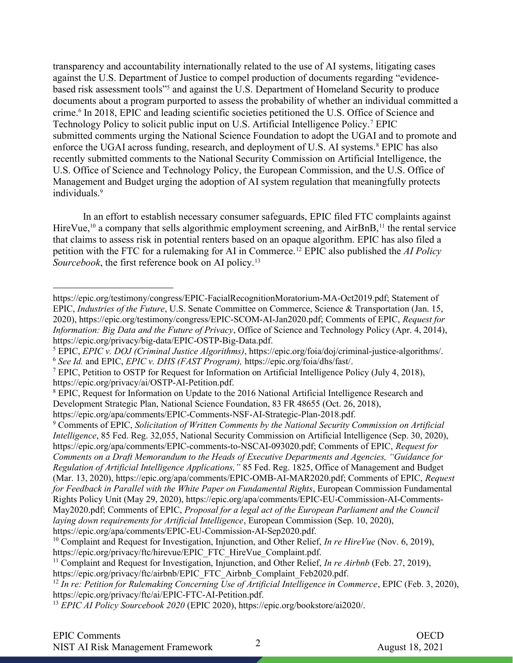transparency and accountability internationally related to the use of AI systems, litigating cases against the U.S. Department of Justice to compel production of documents regarding "evidencebased risk assessment tools"<sup>5</sup> and against the U.S. Department of Homeland Security to produce documents about a program purported to assess the probability of whether an individual committed a crime.<sup>6</sup> In 2018, EPIC and leading scientific societies petitioned the U.S. Office of Science and Technology Policy to solicit public input on U.S. Artificial Intelligence Policy.<sup>7</sup> EPIC submitted comments urging the National Science Foundation to adopt the UGAI and to promote and enforce the UGAI across funding, research, and deployment of U.S. AI systems.<sup>8</sup> EPIC has also recently submitted comments to the National Security Commission on Artificial Intelligence, the U.S. Office of Science and Technology Policy, the European Commission, and the U.S. Office of Management and Budget urging the adoption of AI system regulation that meaningfully protects individuals.<sup>9</sup>

In an effort to establish necessary consumer safeguards, EPIC filed FTC complaints against HireVue,<sup>10</sup> a company that sells algorithmic employment screening, and AirBnB,<sup>11</sup> the rental service that claims to assess risk in potential renters based on an opaque algorithm. EPIC has also filed a petition with the FTC for a rulemaking for AI in Commerce.<sup>12</sup> EPIC also published the *AI Policy* Sourcebook, the first reference book on AI policy.<sup>13</sup>

https://epic.org/testimony/congress/EPIC-FacialRecognitionMoratorium-MA-Oct2019.pdf; Statement of EPIC, Industries of the Future, U.S. Senate Committee on Commerce, Science & Transportation (Jan. 15, 2020), https://epic.org/testimony/congress/EPIC-SCOM-AI-Jan2020.pdf; Comments of EPIC, Request for Information: Big Data and the Future of Privacy, Office of Science and Technology Policy (Apr. 4, 2014), https://epic.org/privacy/big-data/EPIC-OSTP-Big-Data.pdf.

<sup>&</sup>lt;sup>5</sup> EPIC, *EPIC v. DOJ (Criminal Justice Algorithms)*, https://epic.org/foia/doj/criminal-justice-algorithms/.

<sup>6</sup> See Id. and EPIC, EPIC v. DHS (FAST Program), https://epic.org/foia/dhs/fast/.

<sup>&</sup>lt;sup>7</sup> EPIC, Petition to OSTP for Request for Information on Artificial Intelligence Policy (July 4, 2018), https://epic.org/privacy/ai/OSTP-AI-Petition.pdf.

<sup>&</sup>lt;sup>8</sup> EPIC, Request for Information on Update to the 2016 National Artificial Intelligence Research and Development Strategic Plan, National Science Foundation, 83 FR 48655 (Oct. 26, 2018),

https://epic.org/apa/comments/EPIC-Comments-NSF-AI-Strategic-Plan-2018.pdf.

<sup>&</sup>lt;sup>9</sup> Comments of EPIC, Solicitation of Written Comments by the National Security Commission on Artificial Intelligence, 85 Fed. Reg. 32,055, National Security Commission on Artificial Intelligence (Sep. 30, 2020), https://epic.org/apa/comments/EPIC-comments-to-NSCAI-093020.pdf; Comments of EPIC, Request for Comments on a Draft Memorandum to the Heads of Executive Departments and Agencies, "Guidance for Regulation of Artificial Intelligence Applications," 85 Fed. Reg. 1825, Office of Management and Budget (Mar. 13, 2020), https://epic.org/apa/comments/EPIC-OMB-AI-MAR2020.pdf; Comments of EPIC, Request for Feedback in Parallel with the White Paper on Fundamental Rights, European Commission Fundamental Rights Policy Unit (May 29, 2020), https://epic.org/apa/comments/EPIC-EU-Commission-AI-Comments-May2020.pdf; Comments of EPIC, Proposal for a legal act of the European Parliament and the Council laying down requirements for Artificial Intelligence, European Commission (Sep. 10, 2020), https://epic.org/apa/comments/EPIC-EU-Commission-AI-Sep2020.pdf.

<sup>&</sup>lt;sup>10</sup> Complaint and Request for Investigation, Injunction, and Other Relief, In re HireVue (Nov. 6, 2019), https://epic.org/privacy/ftc/hirevue/EPIC\_FTC\_HireVue\_Complaint.pdf.

<sup>&</sup>lt;sup>11</sup> Complaint and Request for Investigation, Injunction, and Other Relief, *In re Airbnb* (Feb. 27, 2019), https://epic.org/privacy/ftc/airbnb/EPIC\_FTC\_Airbnb\_Complaint\_Feb2020.pdf.

 $12$  In re: Petition for Rulemaking Concerning Use of Artificial Intelligence in Commerce, EPIC (Feb. 3, 2020), https://epic.org/privacy/ftc/ai/EPIC-FTC-AI-Petition.pdf.

<sup>13</sup> EPIC AI Policy Sourcebook 2020 (EPIC 2020), https://epic.org/bookstore/ai2020/.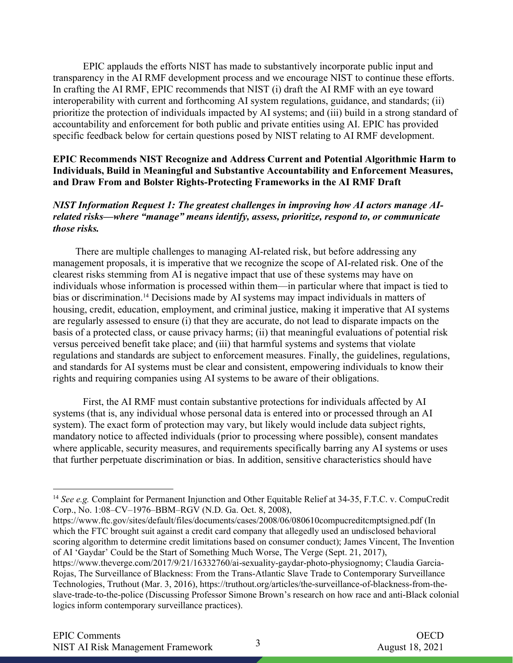EPIC applauds the efforts NIST has made to substantively incorporate public input and transparency in the AI RMF development process and we encourage NIST to continue these efforts. In crafting the AI RMF, EPIC recommends that NIST (i) draft the AI RMF with an eye toward interoperability with current and forthcoming AI system regulations, guidance, and standards; (ii) prioritize the protection of individuals impacted by AI systems; and (iii) build in a strong standard of accountability and enforcement for both public and private entities using AI. EPIC has provided specific feedback below for certain questions posed by NIST relating to AI RMF development.

## EPIC Recommends NIST Recognize and Address Current and Potential Algorithmic Harm to Individuals, Build in Meaningful and Substantive Accountability and Enforcement Measures, and Draw From and Bolster Rights-Protecting Frameworks in the AI RMF Draft

NIST Information Request 1: The greatest challenges in improving how AI actors manage AIrelated risks—where "manage" means identify, assess, prioritize, respond to, or communicate those risks.

 There are multiple challenges to managing AI-related risk, but before addressing any management proposals, it is imperative that we recognize the scope of AI-related risk. One of the clearest risks stemming from AI is negative impact that use of these systems may have on individuals whose information is processed within them—in particular where that impact is tied to bias or discrimination.<sup>14</sup> Decisions made by AI systems may impact individuals in matters of housing, credit, education, employment, and criminal justice, making it imperative that AI systems are regularly assessed to ensure (i) that they are accurate, do not lead to disparate impacts on the basis of a protected class, or cause privacy harms; (ii) that meaningful evaluations of potential risk versus perceived benefit take place; and (iii) that harmful systems and systems that violate regulations and standards are subject to enforcement measures. Finally, the guidelines, regulations, and standards for AI systems must be clear and consistent, empowering individuals to know their rights and requiring companies using AI systems to be aware of their obligations.

First, the AI RMF must contain substantive protections for individuals affected by AI systems (that is, any individual whose personal data is entered into or processed through an AI system). The exact form of protection may vary, but likely would include data subject rights, mandatory notice to affected individuals (prior to processing where possible), consent mandates where applicable, security measures, and requirements specifically barring any AI systems or uses that further perpetuate discrimination or bias. In addition, sensitive characteristics should have

https://www.ftc.gov/sites/default/files/documents/cases/2008/06/080610compucreditcmptsigned.pdf (In which the FTC brought suit against a credit card company that allegedly used an undisclosed behavioral scoring algorithm to determine credit limitations based on consumer conduct); James Vincent, The Invention of AI 'Gaydar' Could be the Start of Something Much Worse, The Verge (Sept. 21, 2017),

<sup>&</sup>lt;sup>14</sup> See e.g. Complaint for Permanent Injunction and Other Equitable Relief at 34-35, F.T.C. v. CompuCredit Corp., No. 1:08–CV–1976–BBM–RGV (N.D. Ga. Oct. 8, 2008),

https://www.theverge.com/2017/9/21/16332760/ai-sexuality-gaydar-photo-physiognomy; Claudia Garcia-Rojas, The Surveillance of Blackness: From the Trans-Atlantic Slave Trade to Contemporary Surveillance Technologies, Truthout (Mar. 3, 2016), https://truthout.org/articles/the-surveillance-of-blackness-from-theslave-trade-to-the-police (Discussing Professor Simone Brown's research on how race and anti-Black colonial logics inform contemporary surveillance practices).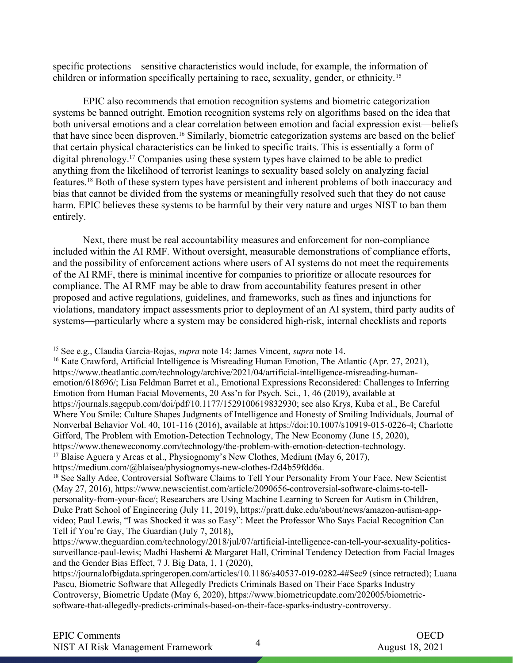specific protections—sensitive characteristics would include, for example, the information of children or information specifically pertaining to race, sexuality, gender, or ethnicity.<sup>15</sup>

EPIC also recommends that emotion recognition systems and biometric categorization systems be banned outright. Emotion recognition systems rely on algorithms based on the idea that both universal emotions and a clear correlation between emotion and facial expression exist—beliefs that have since been disproven.16 Similarly, biometric categorization systems are based on the belief that certain physical characteristics can be linked to specific traits. This is essentially a form of digital phrenology.<sup>17</sup> Companies using these system types have claimed to be able to predict anything from the likelihood of terrorist leanings to sexuality based solely on analyzing facial features.18 Both of these system types have persistent and inherent problems of both inaccuracy and bias that cannot be divided from the systems or meaningfully resolved such that they do not cause harm. EPIC believes these systems to be harmful by their very nature and urges NIST to ban them entirely.

Next, there must be real accountability measures and enforcement for non-compliance included within the AI RMF. Without oversight, measurable demonstrations of compliance efforts, and the possibility of enforcement actions where users of AI systems do not meet the requirements of the AI RMF, there is minimal incentive for companies to prioritize or allocate resources for compliance. The AI RMF may be able to draw from accountability features present in other proposed and active regulations, guidelines, and frameworks, such as fines and injunctions for violations, mandatory impact assessments prior to deployment of an AI system, third party audits of systems—particularly where a system may be considered high-risk, internal checklists and reports

<sup>&</sup>lt;sup>15</sup> See e.g., Claudia Garcia-Rojas, *supra* note 14; James Vincent, *supra* note 14.

<sup>&</sup>lt;sup>16</sup> Kate Crawford, Artificial Intelligence is Misreading Human Emotion, The Atlantic (Apr. 27, 2021), https://www.theatlantic.com/technology/archive/2021/04/artificial-intelligence-misreading-humanemotion/618696/; Lisa Feldman Barret et al., Emotional Expressions Reconsidered: Challenges to Inferring Emotion from Human Facial Movements, 20 Ass'n for Psych. Sci., 1, 46 (2019), available at https://journals.sagepub.com/doi/pdf/10.1177/1529100619832930; see also Krys, Kuba et al., Be Careful Where You Smile: Culture Shapes Judgments of Intelligence and Honesty of Smiling Individuals, Journal of Nonverbal Behavior Vol. 40, 101-116 (2016), available at https://doi:10.1007/s10919-015-0226-4; Charlotte Gifford, The Problem with Emotion-Detection Technology, The New Economy (June 15, 2020), https://www.theneweconomy.com/technology/the-problem-with-emotion-detection-technology. <sup>17</sup> Blaise Aguera y Arcas et al., Physiognomy's New Clothes, Medium (May 6, 2017),

https://medium.com/@blaisea/physiognomys-new-clothes-f2d4b59fdd6a.

<sup>&</sup>lt;sup>18</sup> See Sally Adee, Controversial Software Claims to Tell Your Personality From Your Face, New Scientist (May 27, 2016), https://www.newscientist.com/article/2090656-controversial-software-claims-to-tellpersonality-from-your-face/; Researchers are Using Machine Learning to Screen for Autism in Children, Duke Pratt School of Engineering (July 11, 2019), https://pratt.duke.edu/about/news/amazon-autism-appvideo; Paul Lewis, "I was Shocked it was so Easy": Meet the Professor Who Says Facial Recognition Can Tell if You're Gay, The Guardian (July 7, 2018),

https://www.theguardian.com/technology/2018/jul/07/artificial-intelligence-can-tell-your-sexuality-politicssurveillance-paul-lewis; Madhi Hashemi & Margaret Hall, Criminal Tendency Detection from Facial Images and the Gender Bias Effect, 7 J. Big Data, 1, 1 (2020),

https://journalofbigdata.springeropen.com/articles/10.1186/s40537-019-0282-4#Sec9 (since retracted); Luana Pascu, Biometric Software that Allegedly Predicts Criminals Based on Their Face Sparks Industry Controversy, Biometric Update (May 6, 2020), https://www.biometricupdate.com/202005/biometricsoftware-that-allegedly-predicts-criminals-based-on-their-face-sparks-industry-controversy.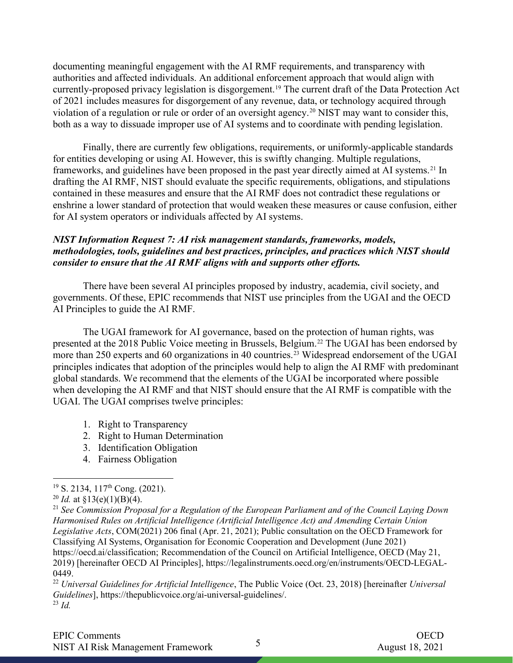documenting meaningful engagement with the AI RMF requirements, and transparency with authorities and affected individuals. An additional enforcement approach that would align with currently-proposed privacy legislation is disgorgement.<sup>19</sup> The current draft of the Data Protection Act of 2021 includes measures for disgorgement of any revenue, data, or technology acquired through violation of a regulation or rule or order of an oversight agency.<sup>20</sup> NIST may want to consider this, both as a way to dissuade improper use of AI systems and to coordinate with pending legislation.

Finally, there are currently few obligations, requirements, or uniformly-applicable standards for entities developing or using AI. However, this is swiftly changing. Multiple regulations, frameworks, and guidelines have been proposed in the past year directly aimed at AI systems.<sup>21</sup> In drafting the AI RMF, NIST should evaluate the specific requirements, obligations, and stipulations contained in these measures and ensure that the AI RMF does not contradict these regulations or enshrine a lower standard of protection that would weaken these measures or cause confusion, either for AI system operators or individuals affected by AI systems.

# NIST Information Request 7: AI risk management standards, frameworks, models, methodologies, tools, guidelines and best practices, principles, and practices which NIST should consider to ensure that the AI RMF aligns with and supports other efforts.

There have been several AI principles proposed by industry, academia, civil society, and governments. Of these, EPIC recommends that NIST use principles from the UGAI and the OECD AI Principles to guide the AI RMF.

 The UGAI framework for AI governance, based on the protection of human rights, was presented at the 2018 Public Voice meeting in Brussels, Belgium.<sup>22</sup> The UGAI has been endorsed by more than 250 experts and 60 organizations in 40 countries.<sup>23</sup> Widespread endorsement of the UGAI principles indicates that adoption of the principles would help to align the AI RMF with predominant global standards. We recommend that the elements of the UGAI be incorporated where possible when developing the AI RMF and that NIST should ensure that the AI RMF is compatible with the UGAI. The UGAI comprises twelve principles:

- 1. Right to Transparency
- 2. Right to Human Determination
- 3. Identification Obligation
- 4. Fairness Obligation

 $19$  S. 2134, 117<sup>th</sup> Cong. (2021).

<sup>&</sup>lt;sup>20</sup> *Id.* at  $\frac{$13(e)(1)(B)(4)}{4}$ .

 $21$  See Commission Proposal for a Regulation of the European Parliament and of the Council Laying Down Harmonised Rules on Artificial Intelligence (Artificial Intelligence Act) and Amending Certain Union Legislative Acts, COM(2021) 206 final (Apr. 21, 2021); Public consultation on the OECD Framework for Classifying AI Systems, Organisation for Economic Cooperation and Development (June 2021) https://oecd.ai/classification; Recommendation of the Council on Artificial Intelligence, OECD (May 21, 2019) [hereinafter OECD AI Principles], https://legalinstruments.oecd.org/en/instruments/OECD-LEGAL-0449.

<sup>&</sup>lt;sup>22</sup> Universal Guidelines for Artificial Intelligence, The Public Voice (Oct. 23, 2018) [hereinafter Universal Guidelines], https://thepublicvoice.org/ai-universal-guidelines/.  $^{23}$  Id.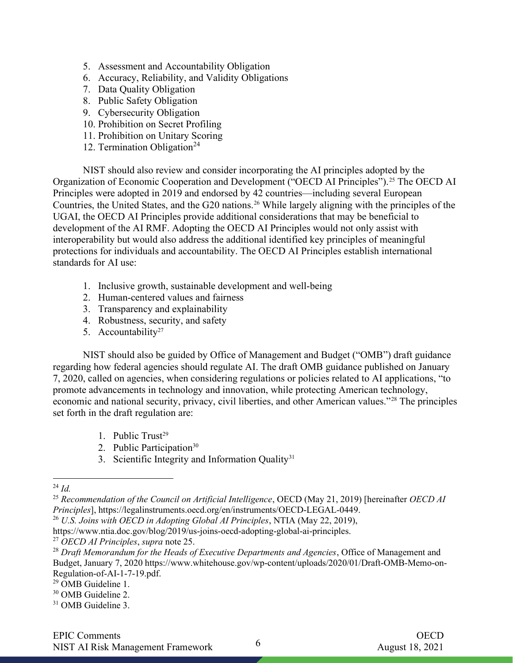- 5. Assessment and Accountability Obligation
- 6. Accuracy, Reliability, and Validity Obligations
- 7. Data Quality Obligation
- 8. Public Safety Obligation
- 9. Cybersecurity Obligation
- 10. Prohibition on Secret Profiling
- 11. Prohibition on Unitary Scoring
- 12. Termination Obligation<sup>24</sup>

NIST should also review and consider incorporating the AI principles adopted by the Organization of Economic Cooperation and Development ("OECD AI Principles").<sup>25</sup> The OECD AI Principles were adopted in 2019 and endorsed by 42 countries—including several European Countries, the United States, and the G20 nations.26 While largely aligning with the principles of the UGAI, the OECD AI Principles provide additional considerations that may be beneficial to development of the AI RMF. Adopting the OECD AI Principles would not only assist with interoperability but would also address the additional identified key principles of meaningful protections for individuals and accountability. The OECD AI Principles establish international standards for AI use:

- 1. Inclusive growth, sustainable development and well-being
- 2. Human-centered values and fairness
- 3. Transparency and explainability
- 4. Robustness, security, and safety
- 5. Accountability<sup>27</sup>

NIST should also be guided by Office of Management and Budget ("OMB") draft guidance regarding how federal agencies should regulate AI. The draft OMB guidance published on January 7, 2020, called on agencies, when considering regulations or policies related to AI applications, "to promote advancements in technology and innovation, while protecting American technology, economic and national security, privacy, civil liberties, and other American values."28 The principles set forth in the draft regulation are:

- 1. Public Trust<sup>29</sup>
- 2. Public Participation<sup>30</sup>
- 3. Scientific Integrity and Information Quality<sup>31</sup>

 $^{24}$  *Id.* 

<sup>&</sup>lt;sup>25</sup> Recommendation of the Council on Artificial Intelligence, OECD (May 21, 2019) [hereinafter OECD AI Principles], https://legalinstruments.oecd.org/en/instruments/OECD-LEGAL-0449.

 $26$  U.S. Joins with OECD in Adopting Global AI Principles, NTIA (May 22, 2019),

https://www.ntia.doc.gov/blog/2019/us-joins-oecd-adopting-global-ai-principles.

 $27$  OECD AI Principles, supra note 25.

 $28$  Draft Memorandum for the Heads of Executive Departments and Agencies, Office of Management and Budget, January 7, 2020 https://www.whitehouse.gov/wp-content/uploads/2020/01/Draft-OMB-Memo-on-Regulation-of-AI-1-7-19.pdf.

<sup>29</sup> OMB Guideline 1.

<sup>30</sup> OMB Guideline 2.

<sup>&</sup>lt;sup>31</sup> OMB Guideline 3.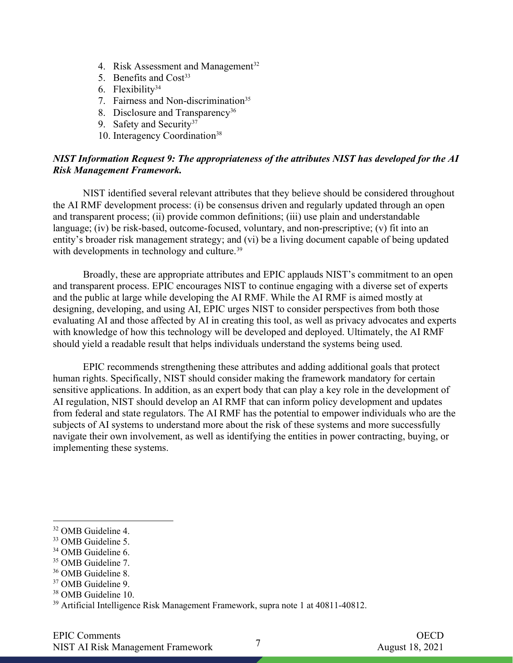- 4. Risk Assessment and Management<sup>32</sup>
- 5. Benefits and  $Cost<sup>33</sup>$
- 6. Flexibility<sup>34</sup>
- 7. Fairness and Non-discrimination<sup>35</sup>
- 8. Disclosure and Transparency<sup>36</sup>
- 9. Safety and Security<sup>37</sup>
- 10. Interagency Coordination<sup>38</sup>

### NIST Information Request 9: The appropriateness of the attributes NIST has developed for the AI Risk Management Framework.

NIST identified several relevant attributes that they believe should be considered throughout the AI RMF development process: (i) be consensus driven and regularly updated through an open and transparent process; (ii) provide common definitions; (iii) use plain and understandable language; (iv) be risk-based, outcome-focused, voluntary, and non-prescriptive; (v) fit into an entity's broader risk management strategy; and (vi) be a living document capable of being updated with developments in technology and culture.<sup>39</sup>

 Broadly, these are appropriate attributes and EPIC applauds NIST's commitment to an open and transparent process. EPIC encourages NIST to continue engaging with a diverse set of experts and the public at large while developing the AI RMF. While the AI RMF is aimed mostly at designing, developing, and using AI, EPIC urges NIST to consider perspectives from both those evaluating AI and those affected by AI in creating this tool, as well as privacy advocates and experts with knowledge of how this technology will be developed and deployed. Ultimately, the AI RMF should yield a readable result that helps individuals understand the systems being used.

EPIC recommends strengthening these attributes and adding additional goals that protect human rights. Specifically, NIST should consider making the framework mandatory for certain sensitive applications. In addition, as an expert body that can play a key role in the development of AI regulation, NIST should develop an AI RMF that can inform policy development and updates from federal and state regulators. The AI RMF has the potential to empower individuals who are the subjects of AI systems to understand more about the risk of these systems and more successfully navigate their own involvement, as well as identifying the entities in power contracting, buying, or implementing these systems.

- <sup>34</sup> OMB Guideline 6.
- <sup>35</sup> OMB Guideline 7.
- <sup>36</sup> OMB Guideline 8.
- <sup>37</sup> OMB Guideline 9.
- <sup>38</sup> OMB Guideline 10.

<sup>32</sup> OMB Guideline 4.

<sup>33</sup> OMB Guideline 5.

<sup>39</sup> Artificial Intelligence Risk Management Framework, supra note 1 at 40811-40812.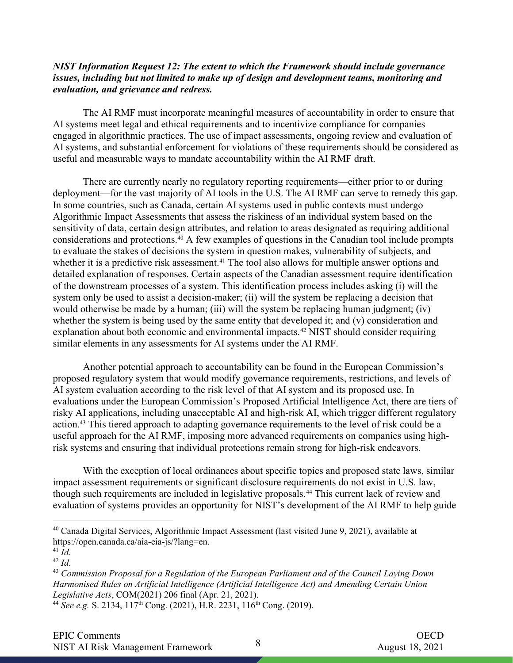### NIST Information Request 12: The extent to which the Framework should include governance issues, including but not limited to make up of design and development teams, monitoring and evaluation, and grievance and redress.

The AI RMF must incorporate meaningful measures of accountability in order to ensure that AI systems meet legal and ethical requirements and to incentivize compliance for companies engaged in algorithmic practices. The use of impact assessments, ongoing review and evaluation of AI systems, and substantial enforcement for violations of these requirements should be considered as useful and measurable ways to mandate accountability within the AI RMF draft.

There are currently nearly no regulatory reporting requirements—either prior to or during deployment—for the vast majority of AI tools in the U.S. The AI RMF can serve to remedy this gap. In some countries, such as Canada, certain AI systems used in public contexts must undergo Algorithmic Impact Assessments that assess the riskiness of an individual system based on the sensitivity of data, certain design attributes, and relation to areas designated as requiring additional considerations and protections.40 A few examples of questions in the Canadian tool include prompts to evaluate the stakes of decisions the system in question makes, vulnerability of subjects, and whether it is a predictive risk assessment.<sup>41</sup> The tool also allows for multiple answer options and detailed explanation of responses. Certain aspects of the Canadian assessment require identification of the downstream processes of a system. This identification process includes asking (i) will the system only be used to assist a decision-maker; (ii) will the system be replacing a decision that would otherwise be made by a human; (iii) will the system be replacing human judgment; (iv) whether the system is being used by the same entity that developed it; and (v) consideration and explanation about both economic and environmental impacts.<sup>42</sup> NIST should consider requiring similar elements in any assessments for AI systems under the AI RMF.

Another potential approach to accountability can be found in the European Commission's proposed regulatory system that would modify governance requirements, restrictions, and levels of AI system evaluation according to the risk level of that AI system and its proposed use. In evaluations under the European Commission's Proposed Artificial Intelligence Act, there are tiers of risky AI applications, including unacceptable AI and high-risk AI, which trigger different regulatory action.<sup>43</sup> This tiered approach to adapting governance requirements to the level of risk could be a useful approach for the AI RMF, imposing more advanced requirements on companies using highrisk systems and ensuring that individual protections remain strong for high-risk endeavors.

With the exception of local ordinances about specific topics and proposed state laws, similar impact assessment requirements or significant disclosure requirements do not exist in U.S. law, though such requirements are included in legislative proposals.<sup>44</sup> This current lack of review and evaluation of systems provides an opportunity for NIST's development of the AI RMF to help guide

<sup>40</sup> Canada Digital Services, Algorithmic Impact Assessment (last visited June 9, 2021), available at https://open.canada.ca/aia-eia-js/?lang=en.

 $^{41}$   $\tilde{I}d$ .

 $42$  *Id.* 

<sup>&</sup>lt;sup>43</sup> Commission Proposal for a Regulation of the European Parliament and of the Council Laying Down Harmonised Rules on Artificial Intelligence (Artificial Intelligence Act) and Amending Certain Union Legislative Acts, COM(2021) 206 final (Apr. 21, 2021).

<sup>&</sup>lt;sup>44</sup> See e.g. S. 2134, 117<sup>th</sup> Cong. (2021), H.R. 2231, 116<sup>th</sup> Cong. (2019).